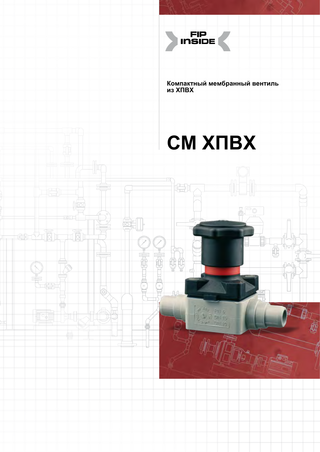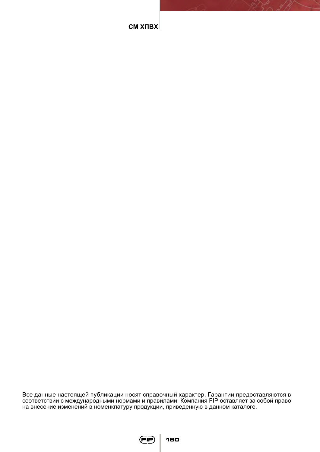Все данные настоящей публикации носят справочный характер. Гарантии предоставляются в соответствии с международными нормами и правилами. Компания FIP оставляет за собой право на внесение изменений в номенклатуру продукции, приведенную в данном каталоге.



**160**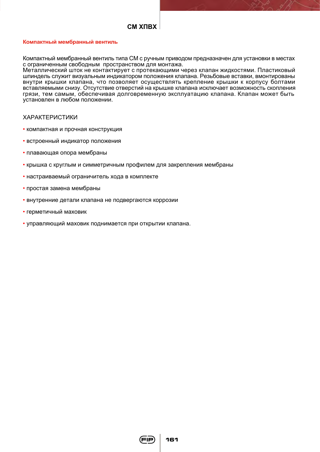#### **Компактный мембранный вентиль**

Компактный мембранный вентиль типа СМ с ручным приводом предназначен для установки в местах с ограниченным свободным пространством для монтажа.

Металлический шток не контактирует с протекающими через клапан жидкостями. Пластиковый шпиндель служит визуальным индикатором положения клапана. Резьбовые вставки, вмонтированы внутри крышки клапана, что позволяет осуществлять крепление крышки к корпусу болтами вставляемыми снизу. Отсутствие отверстий на крышке клапана исключает возможность скопления грязи, тем самым, обеспечивая долговременную эксплуатацию клапана. Клапан может быть установлен в любом положении.

#### ХАРАКТЕРИСТИКИ

- компактная и прочная конструкция
- встроенный индикатор положения
- плавающая опора мембраны
- крышка с круглым и симметричным профилем для закрепления мембраны
- настраиваемый ограничитель хода в комплекте
- простая замена мембраны
- внутренние детали клапана не подвергаются коррозии
- герметичный маховик
- управляющий маховик поднимается при открытии клапана.

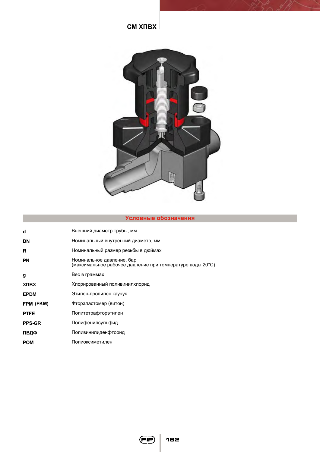

### **Условные обозначения**

| d             | Внешний диаметр трубы, мм                                                              |  |  |  |
|---------------|----------------------------------------------------------------------------------------|--|--|--|
| DN            | Номинальный внутренний диаметр, мм                                                     |  |  |  |
| R             | Номинальный размер резьбы в дюймах                                                     |  |  |  |
| PN            | Номинальное давление, бар<br>(максимальное рабочее давление при температуре воды 20°С) |  |  |  |
| g             | Вес в граммах                                                                          |  |  |  |
| <b>XNBX</b>   | Хлорированный поливинилхлорид                                                          |  |  |  |
| <b>EPDM</b>   | Этилен-пропилен каучук                                                                 |  |  |  |
| FPM (FKM)     | Фторэластомер (витон)                                                                  |  |  |  |
| <b>PTFE</b>   | Политетрафторэтилен                                                                    |  |  |  |
| <b>PPS-GR</b> | Полифенилсульфид                                                                       |  |  |  |
| ПВДФ          | Поливинилиденфторид                                                                    |  |  |  |
| <b>POM</b>    | Полиоксиметилен                                                                        |  |  |  |

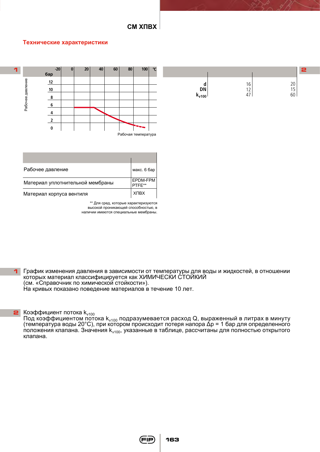#### **Технические характеристики**



|                                                                                          |                      |                          | 2 |
|------------------------------------------------------------------------------------------|----------------------|--------------------------|---|
|                                                                                          |                      |                          |   |
| $\begin{array}{c}\n\mathsf{d} \\ \mathsf{DN} \\ \mathsf{k}_{\mathsf{v100}}\n\end{array}$ | 16<br>1 <sub>2</sub> | $\sim$<br>1 <sub>5</sub> |   |
|                                                                                          |                      | 60                       |   |

| Рабочее давление                 | макс. 6 бар        |
|----------------------------------|--------------------|
| Материал уплотнительной мембраны | EPDM-FPM<br>PTFE** |
| Материал корпуса вентиля         | <b>XUBX</b>        |

\*\* Для сред, которые характеризуются высокой проникающей способностью, в наличии имеются специальные мембраны.

**1** График изменения давления в зависимости от температуры для воды и жидкостей, в отношении которых материал классифицируется как ХИМИЧЕСКИ СТОЙКИЙ (см. «Справочник по химической стойкости»). На кривых показано поведение материалов в течение 10 лет.

#### **2** Коэффициент потока  $k_{v100}$

Под коэффициентом потока  $k_{v100}$  подразумевается расход Q, выраженный в литрах в минуту (температура воды 20°С), при котором происходит потеря напора Δp = 1 бар для определенного положения клапана. Значения k<sub>v100</sub>, указанные в таблице, рассчитаны для полностью открытого клапана.

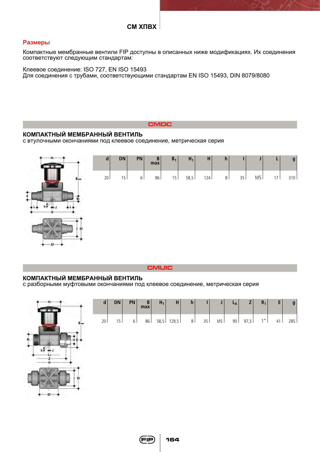#### **CM XNBX**

#### Размеры

Компактные мембранные вентили FIP доступны в описанных ниже модификациях. Их соединения соответствуют следующим стандартам:

Клеевое соединение: ISO 727, EN ISO 15493 Для соединения с трубами, соответствующими стандартам EN ISO 15493, DIN 8079/8080

#### **CMDC**

КОМПАКТНЫЙ МЕМБРАННЫЙ ВЕНТИЛЬ

с втулочными окончаниями под клеевое соединение, метрическая серия



#### **CMUIC**

#### КОМПАКТНЫЙ МЕМБРАННЫЙ ВЕНТИЛЬ

с разборными муфтовыми окончаниями под клеевое соединение, метрическая серия



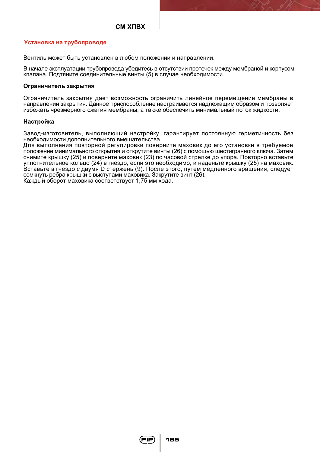#### **Установка на трубопроводе**

Вентиль может быть установлен в любом положении и направлении.

В начале эксплуатации трубопровода убедитесь в отсутствии протечек между мембраной и корпусом клапана. Подтяните соединительные винты (5) в случае необходимости.

#### **Ограничитель закрытия**

Ограничитель закрытия дает возможность ограничить линейное перемещение мембраны в направлении закрытия. Данное приспособление настраивается надлежащим образом и позволяет избежать чрезмерного сжатия мембраны, а также обеспечить минимальный поток жидкости.

#### **Настройка**

Завод-изготовитель, выполняющий настройку, гарантирует постоянную герметичность без необходимости дополнительного вмешательства.

Для выполнения повторной регулировки поверните маховик до его установки в требуемое положение минимального открытия и открутите винты (26) с помощью шестигранного ключа. Затем снимите крышку (25) и поверните маховик (23) по часовой стрелке до упора. Повторно вставьте уплотнительное кольцо (24) в гнездо, если это необходимо, и наденьте крышку (25) на маховик. Вставьте в гнездо с двумя D стержень (9). После этого, путем медленного вращения, следует сомкнуть ребра крышки с выступами маховика. Закрутите винт (26). Каждый оборот маховика соответствует 1,75 мм хода.

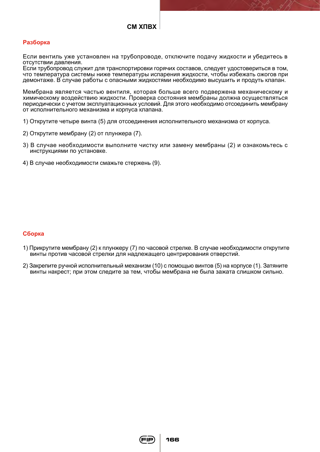#### **Разборка**

Если вентиль уже установлен на трубопроводе, отключите подачу жидкости и убедитесь в

Если трубопровод служит для транспортировки горячих составов, следует удостовериться в том, что температура системы ниже температуры испарения жидкости, чтобы избежать ожогов при демонтаже. В случае работы с опасными жидкостями необходимо высушить и продуть клапан.

Мембрана является частью вентиля, которая больше всего подвержена механическому и химическому воздействию жидкости. Проверка состояния мембраны должна осуществляться периодически с учетом эксплуатационных условий. Для этого необходимо отсоединить мембрану от исполнительного механизма и корпуса клапана.

- 1) Открутите четыре винта (5) для отсоединения исполнительного механизма от корпуса.
- 2) Открутите мембрану (2) от плунжера (7).
- 3) В случае необходимости выполните чистку или замену мембраны (2) и ознакомьтесь с инструкциями по установке.
- 4) В случае необходимости смажьте стержень (9).

#### **Сборка**

- 1) Прикрутите мембрану (2) к плунжеру (7) по часовой стрелке. В случае необходимости открутите винты против часовой стрелки для надлежащего центрирования отверстий.
- 2) Закрепите ручной исполнительный механизм (10) с помощью винтов (5) на корпусе (1). Затяните винты накрест; при этом следите за тем, чтобы мембрана не была зажата слишком сильно.

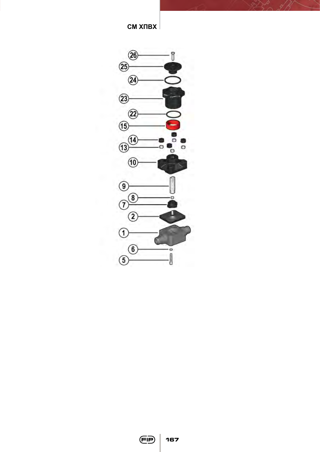CM XNBX

 $(26)$ P  $(25)$  $(24)$  $(23)$  $\circled{2}$  $\circled{15}$ 1000  $\sqrt{14}$  $\frac{1}{\alpha}$  $\widehat{13}$  $\circ$  $(10)$  $\circledcirc$  $\overline{\mathbf{8}}$ 7  $\circled{2}$  $(1)$  $\circledast$  $\cdot$ J  $\circled{5}$ 

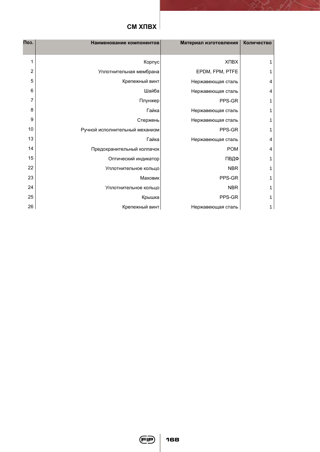| Поз. | Наименование компонентов       | Материал изготовления | Количество |
|------|--------------------------------|-----------------------|------------|
| 1    | Корпус                         | <b>XNBX</b>           | 1          |
| 2    | Уплотнительная мембрана        | EPDM, FPM, PTFE       | 1          |
| 5    | Крепежный винт                 | Нержавеющая сталь     | 4          |
| 6    | Шайба                          | Нержавеющая сталь     | 4          |
| 7    | Плунжер                        | PPS-GR                | 1          |
| 8    | Гайка                          | Нержавеющая сталь     | 1          |
| 9    | Стержень                       | Нержавеющая сталь     | 1          |
| 10   | Ручной исполнительный механизм | PPS-GR                | 1          |
| 13   | Гайка                          | Нержавеющая сталь     | 4          |
| 14   | Предохранительный колпачок     | <b>POM</b>            | 4          |
| 15   | Оптический индикатор           | ПВДФ                  | 1          |
| 22   | Уплотнительное кольцо          | <b>NBR</b>            | 1          |
| 23   | Маховик                        | PPS-GR                | 1          |
| 24   | Уплотнительное кольцо          | <b>NBR</b>            | 1          |
| 25   | Крышка                         | PPS-GR                | 1          |
| 26   | Крепежный винт                 | Нержавеющая сталь     | 1          |